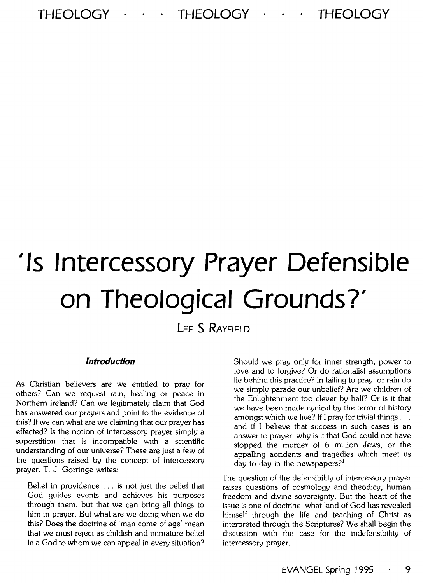## THEOLOGY · · · THEOLOGY · · · THEOLOGY

# ~Is **Intercessory Prayer Defensible on Theological Grounds?'**

# **LEE s RAYFIELD**

#### *Introduction*

As Cbristian believers are we entitled to pray for others? Can we request rain, healing or peace in Northern Ireland? Can we legitimately claim that God has answered our prayers and point to the evidence of this? If we can what are we claiming that our prayer has effected? Is the notion of intercessory prayer simply a superstition that is incompatible with a scientific understanding of our universe? These are just a few of the questions raised by the concept of intercessory prayer. T. J. Gorringe writes:

Belief in providence ... is not just the belief that God guides events and achieves his purposes through them, but that we can bring all things to him in prayer. But what are we doing when we do this? Does the doctrine of 'man come of age' mean that we must reject as childish and immature belief in a God to whom we can appeal in every situation?

Should we pray only for inner strength, power to love and to forgive? Or do rationalist assumptions lie behind this practice? In failing to pray for rain do we simply parade our unbelief? Are we children of the Enlightenment too clever by half? Or is it that we have been made cynical by the terror of history amongst which we live? If I pray for trivial things . . . and if I believe that success in such cases is an answer to prayer, why is it that God could not have stopped the murder of 6 million Jews, or the appalling accidents and tragedies which meet us day to day in the newspapers? $1$ 

The question of the defensibility of intercessory prayer raises questions of cosmology and theodicy, human freedom and divine sovereignty. But the heart of the issue is one of doctrine: what kind of God has revealed himself through the life and teaching of Christ as interpreted through the Scriptures? We shall begin the discussion with the case for the indefensibility of intercessory prayer.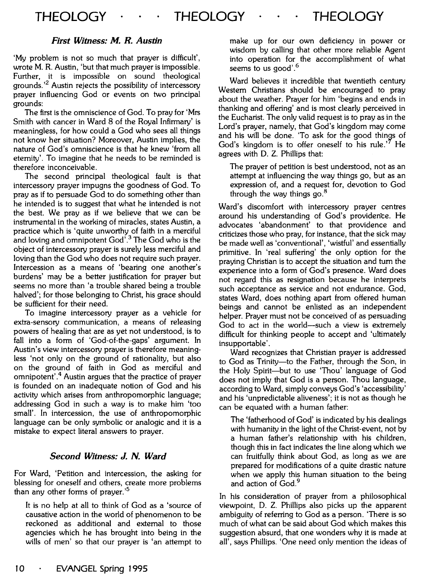#### *First Witness: M. R. Austin*

'My problem is not so much that prayer is difficult', wrote M. R. Austin, 'but that much prayer is impossible. Further, it is impossible on sound theological grounds. ' 2 Austin rejects the possibility of intercessory prayer influencing God or events on two principal grounds:

The first is the omniscience of God. To pray for 'Mrs Smith with cancer in Ward 8 of the Royal Infirmary' is meaningless, for how could a God who sees all things not know her situation? Moreover, Austin implies, the nature of God's omniscience is that he knew 'from all eternity'. To imagine that he needs to be reminded is therefore inconceivable.

The second principal theological fault is that intercessory prayer impugns the goodness of God. To pray as if to persuade God to do something other than he intended is to suggest that what he intended is not the best. We pray as if we believe that we can be instrumental in the working of miracles, states Austin, a practice which is 'quite unworthy of faith in a merciful and loving and omnipotent God'.3 The God who is the object of intercessory prayer is surely less merciful and loving than the God who does not require such prayer. Intercession as a means of 'bearing one another's burdens' may be a better justification for prayer but seems no more than 'a trouble shared being a trouble halved'; for those belonging to Christ, his grace should be sufficient for their need.

To imagine intercessory prayer as a vehicle for extra-sensory communication, a means of releasing powers of healing that are as yet not understood, is to fall into a form of 'God-of-the-gaps' argument. In Austin's view intercessory prayer is therefore meaningless 'not only on the ground of rationality, but also on the ground of faith in God as merciful and omnipotent'. 4 Austin argues that the practice of prayer is founded on an inadequate notion of God and his activity which arises from anthropomorphic language; addressing God in such a way is to make him 'too small'. In intercession, the use of anthropomorphic language can be only symbolic or analogic and it is a mistake to expect literal answers to prayer.

#### *Second Witness:* **J. N.** *Ward*

For Ward, 'Petition and intercession, the asking for blessing for oneself and others, create more problems than any other forms of prayer.'<sup>5</sup>

It is no help at all to think of God as a 'source of causative action in the world of phenomenon to be reckoned as additional and external to those agencies which he has brought into being in the wills of men' so that our prayer is 'an attempt to

make up for our own deficiency in power or wisdom by calling that other more reliable Agent into operation for the accomplishment of what seems to us good'.<sup>6</sup>

Ward believes it incredible that twentieth century Western Christians should be encouraged to pray about the weather. Prayer for him 'begins and ends in thanking and offering' and is most clearly perceived in the Eucharist. The only valid request is to pray as in the Lord's prayer, namely, that God's kingdom may come and his will be done. 'To ask for the good things of God's kingdom is to offer oneself to his rule.<sup>'7</sup> He agrees with D. Z. Phillips that:

The prayer of petition is best understood, not as an attempt at influencing the way things go, but as an expression of, and a request for, devotion to God through the way things go.<sup>8</sup>

Ward's discomfort with intercessory prayer centres around his understanding of God's providence. He advocates 'abandonment' to that providence and criticizes those who pray, for instance, that the sick may be made well as 'conventional', 'wistful' and essentially primitive. In 'real suffering' the only option for the praying Christian is to accept the situation and tum the experience into a form of God's presence. Ward does not regard this as resignation because he interprets such acceptance as service and not endurance. God, states Ward, does nothing apart from offered human beings and cannot be enlisted as an independent helper. Prayer must not be conceived of as persuading God to act in the world—such a view is extremely difficult for thinking people to accept and 'ultimately insupportable'.

Ward recognizes that Christian prayer is addressed to God as Trinity-to the Father, through the Son, in the Holy Spirit-but to use 'Thou' language of God does not imply that God is a person. Thou language, according to Ward, simply conveys God's 'accessibility' and his 'unpredictable aliveness'; it is not as though he can be equated with a human father:

The 'fatherhood of God' is indicated by his dealings with humanity in the light of the Christ-event, not by a human father's relationship with his children, though this in fact indicates the line along which we can fruitfully think about God, as long as we are prepared for modifications of a quite drastic nature when we apply this human situation to the being and action of God.<sup>9</sup>

In his consideration of prayer from a philosophical viewpoint, D. Z. Phillips also picks up the apparent ambiguity of referring to God as a person. 'There is so much of what can be said about God which makes this suggestion absurd, that one wonders why it is made at all', says Phillips. 'One need only mention the ideas of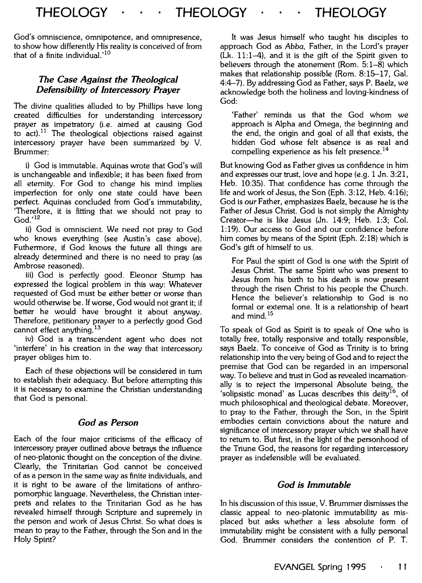God's omniscience, omnipotence, and omnipresence, to show how differently His reality is conceived of from that of a finite individual.'<sup>10</sup>

#### *The Case Against the Theological Defensibility of Intercessory Prayer*

The divine qualities alluded to by Phillips have long created difficulties for understanding intercessory prayer as impetratory (i.e. aimed at causing God to  $act$ ).<sup>11</sup> The theological objections raised against intercessory prayer have been summarized by V. Brummer:

i) God is immutable. Aquinas wrote that God's will is unchangeable and inflexible; it has been fixed from all eternity. For God to change his mind implies imperfection for only one state could have been perfect. Aquinas concluded from God's immutability, 'Therefore, it is fitting that we should not pray to God.'<sup>12</sup>

ii) God is omniscient. We need not pray to God who knows everything (see Austin's case above). Futhermore, if God knows the future all things are already determined and there is no need to pray (as Ambrose reasoned).

iii) God is perfectly good. Eleonor Stump has expressed the logical problem in this way: Whatever requested of God must be either better or worse than would otherwise be. If worse, God would not grant it; if better he would have brought it about anyway. Therefore, petitionary prayer to a perfectly good God cannot effect anything.<sup>13</sup>

iv) God is a transcendent agent who does not 'interfere' in his creation in the way that intercessory prayer obliges him to.

Each of these objections will be considered in tum to establish their adequacy. But before attempting this it is necessary to examine the Christian understanding that God is personal.

#### *God as Person*

Each of the four major criticisms of the efficacy of intercessory prayer outlined above betrays the influence of neo-platonic thought on the conception of the divine. Clearly, the Trinitarian God cannot be conceived of as a person in the same way as finite individuals, and it is right to be aware of the limitations of anthropomorphic language. Nevertheless, the Christian interprets and relates to the Trinitarian God as he has revealed himself through Scripture and supremely in the person and work of Jesus Christ. So what does is mean to pray to the Father, through the Son and in the Holy Spirit?

It was Jesus himself who taught his disciples to approach God as Abba, Father, in the Lord's prayer (Lk. 11:1-4), and it is the gift of the Spirit given to believers through the atonement (Rom. 5:1-8) which makes that relationship possible (Rom. 8:15-17, Gal. 4:4-7). By addressing God as Father, says P. Baelz, we acknowledge both the holiness and loving-kindness of God:

'Father' reminds us that the God whom we approach is Alpha and Omega, the beginning and the end, the origin and goal of all that exists, the hidden God whose felt absence is as real and compelling experience as his felt presence. <sup>14</sup>

But knowing God as Father gives us confidence in him and expresses our trust, love and hope (e.g. 1 Jn. 3:21, Heb. 10:35). That confidence has come through the life and work of Jesus, the Son (Eph. 3:12, Heb. 4:16); God is our Father, emphasizes Baelz, because he is the Father of Jesus Christ. God is not simply the Almighty Creator-he is like Jesus (Jn. 14:9; Heb. 1:3; Col. 1:19). Our access to God and our confidence before him comes by means of the Spirit (Eph. 2:18) which is God's gift of himself to us.

For Paul the spirit of God is one with the Spirit of Jesus Christ. The same Spirit who was present to Jesus from his birth to his death is now present through the risen Christ to his people the Church. Hence the believer's relationship to God is no formal or external one. It is a relationship of heart and mind.<sup>15</sup>

To speak of God as Spirit is to speak of One who is totally free, totally responsive and totally responsible, says Baelz. To conceive of God as Trinity is to bring relationship into the very being of God and to reject the premise that God can be regarded in an impersonal way. To believe and trust in God as revealed incarnationally is to reject the impersonal Absolute being, the 'solipsistic monad' as Lucas describes this deity<sup>16</sup>, of much philosophical and theological debate. Moreover, to pray to the Father, through the Son, in the Spirit embodies certain convictions about the nature and significance of intercessory prayer which we shall have to return to. But first, in the light of the personhood of the Triune God, the reasons for regarding intercessory prayer as indefensible will be evaluated.

#### *God is Immutable*

In his discussion of this issue, V. Brummer dismisses the classic appeal to neo-platonic immutability as misplaced but asks whether a less absolute form of immutability might be consistent with a fully personal God. Brummer considers the contention of P. T.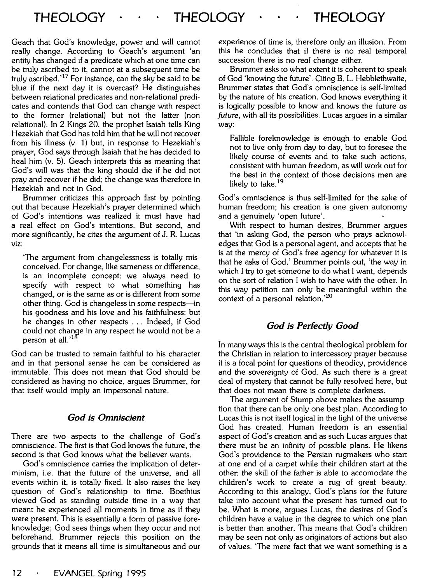Geach that God's knowledge, power and will cannot really change. According to Geach's argument 'an entity has changed if a predicate which at one time can be truly ascribed to it, cannot at a subsequent time be truly ascribed.<sup>'17</sup> For instance, can the sky be said to be blue if the next day it is overcast? He distinguishes between relational predicates and non-relational predicates and contends that God can change with respect to the former (relational) but not the latter (non relational). In 2 Kings 20, the prophet Isaiah tells King Hezekiah that God has told him that he will not recover from his illness (v. 1) but, in response to Hezekiah's prayer, God says through Isaiah that he has decided to heal him (v. 5). Geach interprets this as meaning that God's will was that the king should die if he did not pray and recover if he did; the change was therefore in Hezekiah and not in God.

Brummer criticizes this approach first by pointing out that because Hezekiah's prayer determined which of God's intentions was realized it must have had a real effect on God's intentions. But second, and more significantly, he cites the argument of J. R. Lucas viz:

'The argument from changelessness is totally misconceived. For change, like sameness or difference, is an incomplete concept: we always need to specify with respect to what something has changed, or is the same as or is different from some other thing. God is changeless in some respects-in his goodness and his love and his faithfulness: but he changes in other respects . . . Indeed, if God could not change in any respect he would not be a person at all.'<sup>18</sup>

God can be trusted to remain faithful to his character and in that personal sense he can be considered as immutable. This does not mean that God should be considered as having no choice, argues Brummer, for that itself would imply an impersonal nature.

#### *God is Omniscient*

There are two aspects to the challenge of God's omniscience. The first is that God knows the future, the second is that God knows what the believer wants.

God's omniscience carries the implication of determinism, i.e. that the future of the universe, and all events within it, is totally fixed. It also raises the key question of God's relationship to time. Boethius viewed God as standing outside time in a way that meant he experienced all moments in time as if they were present. This is essentially a form of passive foreknowledge; God sees things when they occur and not beforehand. Brummer rejects this position on the grounds that it means all time is simultaneous and our experience of time is, therefore only an illusion. From this he concludes that if there is no real temporal succession there is no *real* change either.

Brummer asks to what extent it is coherent to speak of God 'knowing the future'. Citing B. L. Hebblethwaite, Brummer states that God's omniscience is self-limited by the nature of his creation. God knows everything it is logically possible to know and knows the future *as future,* with all its possibilities. Lucas argues in a similar way:

Fallible foreknowledge is enough to enable God not to live only from day to day, but to foresee the likely course of events and to take such actions, consistent with human freedom, as will work out for the best in the context of those decisions men are likely to take.<sup>19</sup>

God's omniscience is thus self-limited for the sake of human freedom; his creation is one given autonomy and a genuinely 'open future'.

With respect to human desires, Brummer argues that 'in asking God, the person who prays acknowledges that God is a personal agent, and accepts that he is at the mercy of God's free agency for whatever it is that he asks of God.' Brummer points out, 'the way in which I try to get someone to do what I want, depends on the sort of relation I wish to have with the other. In this way petition can only be meaningful within the context of a personal relation.'<sup>20</sup>

#### *God is Perfectly Good*

In many ways this is the central theological problem for the Christian in relation to intercessory prayer because it is a focal point for questions of theodicy, providence and the sovereignty of God. As such there is a great deal of mystery that cannot be fully resolved here, but that does not mean there is complete darkness.

The argument of Stump above makes the assumption that there can be only one best plan. According to Lucas this is not itself logical in the light of the universe God has created. Human freedom is an essential aspect of God's creation and as such Lucas argues that there must be an infinity of possible plans. He likens God's providence to the Persian rugmakers who start at one end of a carpet while their children start at the other: the skill of the father is able to accomodate the children's work to create a rug of great beauty. According to this analogy, God's plans for the future take into account what the present has turned out to be. What is more, argues Lucas, the desires of God's children have a value in the degree to which one plan is better than another. This means that God's children may be seen not only as originators of actions but also of values. 'The mere fact that we want something is a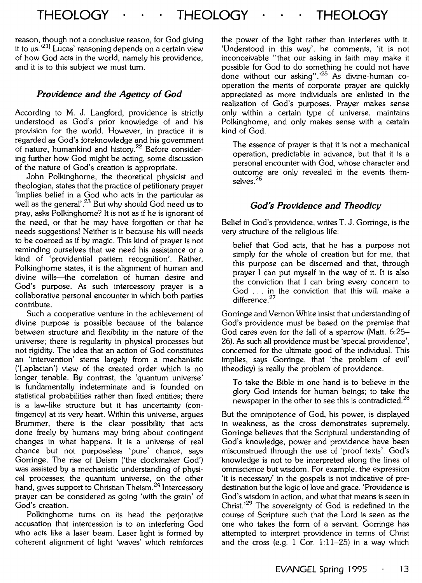reason, though not a conclusive reason, for God giving it to us.'<sup>21]</sup> Lucas' reasoning depends on a certain view of how God acts in the world, namely his providence, and it is to this subject we must tum.

#### *Providence and the Agency of God*

According to M. J. Langford, providence is strictly understood as God's prior knowledge of and his provision for the world. However, in practice it is regarded as God's foreknowledge and his government of nature, humankind and history.<sup>22</sup> Before considering further how God might be acting, some discussion of the nature of God's creation is appropriate.

John Polkinghome, the theoretical physicist and theologian, states that the practice of petitionary prayer 'implies belief in a God who acts in the particular as well as the general'.<sup>23</sup> But why should God need us to pray, asks Polkinghome? It is not as if he is ignorant of the need, or that he may have forgotten or that he needs suggestions! Neither is it because his will needs to be coerced as if by magic. This kind of prayer is not reminding ourselves that we need his assistance or a kind of 'providential pattern recognition'. Rather, Polkinghome states, it is the alignment of human and divine wills-the correlation of human desire and God's purpose. As such intercessory prayer is a collaborative personal encounter in which both parties contribute.

Such a cooperative venture in the achievement of divine purpose is possible because of the balance between structure and flexibility in the nature of the universe; there is regularity in physical processes but not rigidity. The idea that an action of God constitutes an 'intervention' stems largely from a mechanistic ('Laplacian') view of the created order which is no longer tenable. By contrast, the 'quantum universe' is fundamentally indeterminate and is founded on statistical probabilities rather than fixed entities; there is a law-like structure but it has uncertainty (contingency) at its very heart. Within this universe, argues Brummer, there is the clear possibility that acts done freely by humans may bring about contingent changes in what happens. It is a universe of real chance but not purposeless 'pure' chance, says Gorringe. The rise of Deism ('the clockmaker God') was assisted by a mechanistic understanding of physical processes; the quantum universe, on the other hand, gives support to Christian Theism.<sup>24</sup> Intercessory prayer can be considered as going 'with the grain' of God's creation.

Polkinghome turns on its head the perjorative accusation that intercession is to an interfering God who acts like a laser beam. Laser light is formed by coherent alignment of light 'waves' which reinforces

the power of the light rather than interferes with it. 'Understood in this way', he comments, 'it is not inconceivable "that our asking in faith may make it possible for God to do something he could not have .<br>done without our asking".<sup>25</sup> As divine-human cooperation the merits of corporate prayer are quickly appreciated as more individuals are enlisted in the realization of God's purposes. Prayer makes sense only within a certain type of universe, maintains Polkinghome, and only makes sense with a certain kind of God.

The essence of prayer is that it is not a mechanical operation, predictable in advance, but that it is a personal encounter with God, whose character and outcome are only revealed in the events themselves.26

#### *God's Providence and Theodicy*

Belief in God's providence, writes T. J. Gorringe, is the very structure of the religious life:

belief that God acts, that he has a purpose not simply for the whole of creation but for me, that this purpose can be discerned and that, through prayer I can put myself in the way of it. It is also the conviction that I can bring every concern to God . . . in the conviction that this will make a difference.<sup>27</sup>

Gorringe and Vernon White insist that understanding of God's providence must be based on the premise that God cares even for the fall of a sparrow (Matt. 6:25- 26). As such all providence must be 'special providence', concerned for the ultimate good of the individual. This implies, says Gorringe, that 'the problem of evil' (theodicy) is really the problem of providence.

To take the Bible in one hand is to believe in the glory God intends for human beings; to take the newspaper in the other to see this is contradicted.<sup>28</sup>

But the omnipotence of God, his power, is displayed in weakness, as the cross demonstrates supremely. Gorringe believes that the Scriptural understanding of God's knowledge, power and providence have been misconstrued through the use of 'proof texts'. God's knowledge is not to be interpreted along the lines of omniscience but wisdom. For example, the expression 'it is necessary' in the gospels is not indicative of predestination but the logic of love and grace. 'Providence is God's wisdom in action, and what that means is seen in Christ.<sup>'29</sup> The sovereignty of God is redefined in the course of Scripture such that the Lord is seen as the one who takes the form of a servant. Gorringe has attempted to interpret providence in terms of Christ and the cross (e.g. 1 Cor.  $1:11-25$ ) in a way which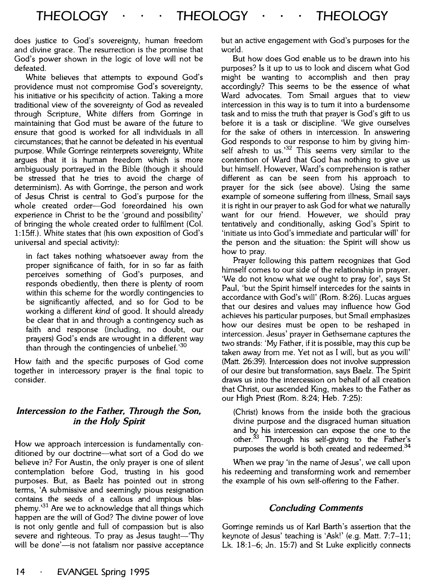does justice to God's sovereignty, human freedom and divine grace. The resurrection is the promise that God's power shown in the logic of love will not be defeated.

White believes that attempts to expound God's providence must not compromise God's sovereignty, his initiative or his specificity of action. Taking a more traditional view of the sovereignty of God as revealed through Scripture, White differs from Gorringe in maintaining that God must be aware of the future to ensure that good is worked for all individuals in all circumstances; that he cannot be defeated in his eventual purpose. While Gorringe reinterprets sovereignty, White argues that it is human freedom which is more ambiguously portrayed in the Bible (though it should be stressed that he tries to avoid the charge of determinism). As with Gorringe, the person and work of Jesus Christ is central to God's purpose for the whole created order-God foreordained his own experience in Christ to be the 'ground and possibility' of bringing the whole created order to fulfilment (Col. 1:15ff.). White states that (his own exposition of God's universal and special activity):

in fact takes nothing whatsoever away from the proper significance of faith, for in so far as faith perceives something of God's purposes, and responds obediently, then there is plenty of room within this scheme for the wordly contingencies to be significantly affected, and so for God to be working a different *kind* of good. It should already be clear that in and through a contingency such as faith and response (including, no doubt, our prayers) God's ends are wrought in a different way than through the contingencies of unbelief.<sup>30</sup>

How faith and the specific purposes of God come together in intercessory prayer is the final topic to consider.

#### *Intercession to the Father, Through the Son, in the Holy Spirit*

How we approach intercession is fundamentally conditioned by our doctrine—what sort of a God do we believe in? For Austin, the only prayer is one of silent contemplation before God, trusting in his good purposes. But, as Baelz has pointed out in strong terms, 'A submissive and seemingly pious resignation contains the seeds of a callous and impious blasphemy.<sup>31</sup> Are we to acknowledge that all things which happen are the will of God? The divine power of love is not only gentle and full of compassion but is also severe and righteous. To pray as Jesus taught-'Thy will be done'-is not fatalism nor passive acceptance but an active engagement with God's purposes for the world.

But how does God enable us to be drawn into his purposes? Is it up to us to look and discern what God might be wanting to accomplish and then pray accordingly? This seems to be the essence of what Ward advocates. Tom Smail argues that to view intercession in this way is to tum it into a burdensome task and to miss the truth that prayer is God's gift to us before it is a task or discipline. 'We give ourselves for the sake of others in intercession. In answering God responds to our response to him by giving himself afresh to us.<sup>32</sup> This seems very similar to the contention of Ward that God has nothing to give us but himself. However, Ward's comprehension is rather different as can be seen from his approach to prayer for the sick (see above). Using the same example of someone suffering from illness, Smail says it is right in our prayer to ask God for what we naturally want for our friend. However, we should pray tentatively and conditionally, asking God's Spirit to 'initiate us into God's immediate and particular will' for the person and the situation: the Spirit will show us how to pray.

Prayer following this pattern recognizes that God himself comes to our side of the relationship in prayer. 'We do not know what we ought to pray for', says St Paul, 'but the Spirit himself intercedes for the saints in accordance with God's will' (Rom. 8:26). Lucas argues that our desires and values may influence how God achieves his particular purposes, but Smail emphasizes how our desires must be open to be reshaped in intercession. Jesus' prayer in Gethsemane captures the two strands: 'My Father, if it is possible, may this cup be taken away from me. Yet not as I will, but as you will' (Matt. 26:39). Intercession does not involve suppression of our desire but transformation, says Baelz. The Spirit draws us into the intercession on behalf of all creation that Christ, our ascended King, makes to the Father as our High Priest (Rom. 8:24; Heb. 7:25):

(Christ) knows from the inside both the gracious divine purpose and the disgraced human situation and by his intercession can expose the one to the other. $33$  Through his self-giving to the Father's purposes the world is both created and redeemed.<sup>34</sup>

When we pray 'in the name of Jesus', we call upon his redeeming and transforming work and remember the example of his own self-offering to the Father.

#### *Concluding Comments*

Gorringe reminds us of Karl Barth's assertion that the keynote of Jesus' teaching is 'Ask!' (e.g. Matt. 7:7-11; Lk. 18:1-6; Jn. 15:7) and St Luke explicitly connects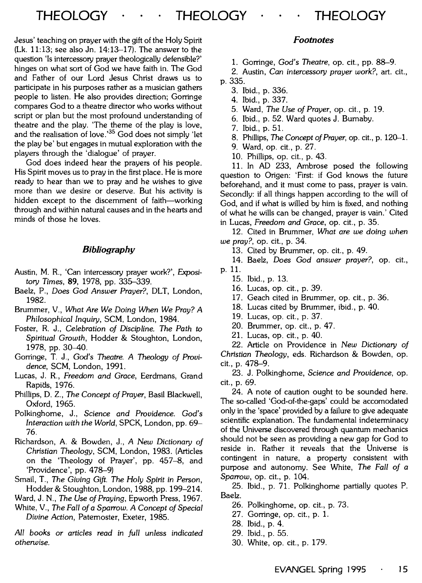Jesus' teaching on prayer with the gift of the Holy Spirit  $(Lk. 11:13;$  see also Jn. 14:13-17). The answer to the question 'Is intercessory prayer theologically defensible?' hinges on what sort of God we have faith in. The God and Father of our Lord Jesus Christ draws us to participate in his purposes rather as a musician gathers people to listen. He also provides direction; Gorringe compares God to a theatre director who works without script or plan but the most profound understanding of theatre and the play. 'The theme of the play is love, and the realisation of love.'<sup>35</sup> God does not simply 'let the play be' but engages in mutual exploration with the players through the 'dialogue' of prayer.

God does indeed hear the prayers of his people. His Spirit moves us to pray in the first place. He is more ready to hear than we to pray and he wishes to give more than we desire or deserve. But his activity is hidden except to the discernment of faith-working through and within natural causes and in the hearts and minds of those he loves.

#### *Bibliography*

- Austin, M. R., 'Can intercessory prayer work?', Exposi*tory* Times, 89, 1978, pp. 335-339.
- Baelz, P., Does *God* Answer *Prayer?,* DLT, London, 1982.
- Brummer, V., *What Are We* Doing *When We Pray? A Philosophical Inquiry,* SCM, London, 1984.
- Foster, R. J., Celebration *of* Discipline. *The Path to Spiritual Growth,* Hodder & Stoughton, London, 1978, pp. 30-40.
- Gorringe, T. J., God's Theatre. *A* Theology *of Providence,* SCM, London, 1991.
- Lucas, J. R., *Freedom and Grace,* Eerdmans, Grand Rapids, 1976.
- Phillips, D. Z., *The Concept of Prayer,* Basil Blackwell, Oxford, 1965.
- Polkinghorne, J., Science *and Providence.* God's *Interaction with the World,* SPCK, London, pp. 69- 76.
- Richardson, A. & Bowden, J., *A New* Dictionary *of*  Christian *Theology,* SCM, London, 1983. (Articles on the 'Theology of Prayer', pp. 457-8, and 'Providence', pp. 478-9)
- Smail, T., *The Giving Gift. The Holy* Spirit in *Person,*  Hodder & Stoughton, London, 1988, pp. 199-214.
- Ward, J. N., *The* Use *of Praying,* Epworth Press, 1967.
- White, V., *The Fall of a Sparrow. A Concept of Special Divine Action,* Paternoster, Exeter, 1985.

*All* books *or* articles *read* in *full* unless *indicated otherwise.* 

#### *Footnotes*

1. Gorringe, God's *Theatre,* op. cit., pp. 88-9.

2. Austin, Can intercessory *prayer work?,* art. cit., p. 335.

- 3. Ibid., p. 336.
- 4. Ibid., p. 337.
- 5. Ward, *The* Use *of Prayer,* op. cit., p. 19.
- 6. Ibid., p. 52. Ward quotes J. Burnaby.
- 7. Ibid., p. 51.
- 8. Phillips, The *Concept of Prayer,* op. cit., p. 120-1.
- 9. Ward, op. cit., p. 27.
- 10. Phillips, op. cit., p. 43.

11. In AD 233, Ambrose posed the following question to Origen: 'First: if God knows the future beforehand, and it must come to pass, prayer is vain. Secondly: if all things happen according to the will of God, and if what is willed by him is fixed, and nothing of what he wills can be changed, prayer is vain.' Cited in Lucas, *Freedom and Grace,* op. cit., p. 35.

12. Cited in Brummer, *What are we* doing *when we pray?,* op. cit., p. 34.

13. Cited by Brummer, op. cit., p. 49.

14. Baelz, Does *God* answer *prayer?,* op. cit.,

- p. 11.
	- 15. Ibid., p. 13.
	- 16. Lucas, op. cit., p. 39.
	- 17. Geach cited in Brummer, op. cit., p. 36.
	- 18. Lucas cited by Brummer, ibid., p. 40.
	- 19. Lucas, op. cit., p. 37.
	- 20. Brummer, op. cit., p. 47.
	- 21. Lucas, op. cit., p. 40.

22. Article on Providence in *New Dictionary of*  Christian *Theology,* eds. Richardson & Bowden, op. cit., p. 478-9.

23. J. Polkinghorne, Science *and Providence,* op. cit., p. 69.

24. A note of caution ought to be sounded here. The so-called 'God-of-the-gaps' could be accomodated only in the 'space' provided by a failure to give adequate scientific explanation. The fundamental indeterminacy of the Universe discovered through quantum mechanics should not be seen as providing a new gap for God to reside in. Rather it reveals that the Universe is contingent in nature, a property consistent with purpose and autonomy. See White, *The Fall of a Sparrow,* op. cit., p. 104.

25. Ibid., p. 71. Polkinghorne partially quotes P. Baelz.

- 26. Polkinghorne, op. cit., p. 73.
- 27. Gorringe, op. cit., p. 1.
- 28. Ibid., p. 4.
- 29. Ibid., p. 55.
- 30. White, op. cit., p. 179.